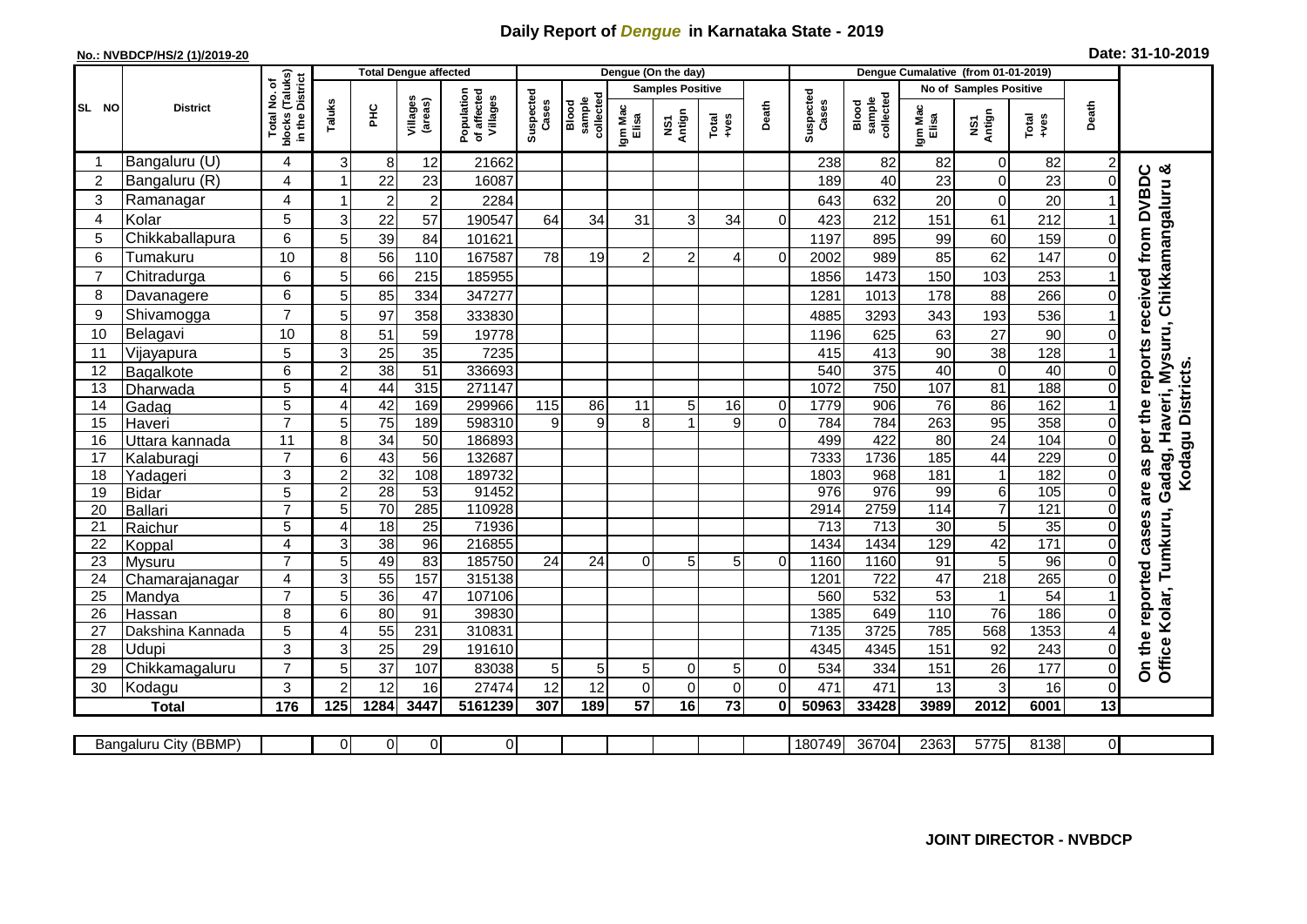## **Daily Report of** *Dengue* **in Karnataka State - 2019**

## **No.: NVBDCP/HS/2 (1)/2019-20**

| Date: 31-10-2019 |  |  |  |  |  |
|------------------|--|--|--|--|--|
|------------------|--|--|--|--|--|

|                 |                       |                                                 |                |                 | <b>Total Dengue affected</b> |                                       |                    |                              |                  | Dengue (On the day)     |                 |                |                    |                                     | Dengue Cumalative (from 01-01-2019) |                        |                  |                |                                                                 |
|-----------------|-----------------------|-------------------------------------------------|----------------|-----------------|------------------------------|---------------------------------------|--------------------|------------------------------|------------------|-------------------------|-----------------|----------------|--------------------|-------------------------------------|-------------------------------------|------------------------|------------------|----------------|-----------------------------------------------------------------|
|                 |                       | ٥                                               |                |                 |                              |                                       |                    |                              |                  | <b>Samples Positive</b> |                 |                |                    |                                     |                                     | No of Samples Positive |                  |                |                                                                 |
| SL NO           | <b>District</b>       | blocks (Taluks)<br>in the District<br>Total No. | Taluks         | 운               | Villages<br>(areas)          | Population<br>of affected<br>Villages | Suspected<br>Cases | collected<br>sample<br>Blood | Igm Mac<br>Elisa | Antign<br>Σή            | Total<br>+ves   | Death          | Suspected<br>Cases | collected<br><b>Blood</b><br>sample | Igm Mac<br>Elisa                    | NS1<br>Antign          | Total<br>+ves    | Death          |                                                                 |
|                 | Bangaluru (U)         | 4                                               | 3              | 8               | 12                           | 21662                                 |                    |                              |                  |                         |                 |                | 238                | 82                                  | 82                                  | $\Omega$               | 82               | $\overline{c}$ |                                                                 |
| $\overline{c}$  | Bangaluru (R)         | 4                                               |                | 22              | 23                           | 16087                                 |                    |                              |                  |                         |                 |                | 189                | 40                                  | 23                                  | 0                      | 23               | $\Omega$       |                                                                 |
| 3               | Ramanagar             | 4                                               |                | $\overline{2}$  | $\overline{2}$               | 2284                                  |                    |                              |                  |                         |                 |                | 643                | 632                                 | 20                                  | $\Omega$               | 20               |                | Chikkamangaluru &<br>are as per the reports received from DVBDC |
| 4               | Kolar                 | 5                                               | 3              | 22              | 57                           | 190547                                | 64                 | 34                           | 31               | 3                       | 34              | $\Omega$       | 423                | 212                                 | 151                                 | 61                     | 212              |                |                                                                 |
| 5               | Chikkaballapura       | 6                                               | 5              | 39              | 84                           | 101621                                |                    |                              |                  |                         |                 |                | 1197               | 895                                 | 99                                  | 60                     | 159              | 0              |                                                                 |
| 6               | Tumakuru              | 10                                              | 8              | 56              | 110                          | 167587                                | 78                 | 19                           | $\overline{c}$   | $\overline{c}$          | 4               | $\Omega$       | 2002               | 989                                 | 85                                  | 62                     | 147              | $\Omega$       |                                                                 |
| $\overline{7}$  | Chitradurga           | 6                                               | 5              | 66              | 215                          | 185955                                |                    |                              |                  |                         |                 |                | 1856               | 1473                                | 150                                 | 103                    | 253              |                |                                                                 |
| 8               | Davanagere            | 6                                               | 5              | 85              | 334                          | 347277                                |                    |                              |                  |                         |                 |                | 1281               | 1013                                | 178                                 | 88                     | 266              | $\Omega$       |                                                                 |
| 9               | Shivamogga            | $\overline{7}$                                  | 5              | 97              | 358                          | 333830                                |                    |                              |                  |                         |                 |                | 4885               | 3293                                | 343                                 | 193                    | 536              |                |                                                                 |
| 10              | Belagavi              | 10                                              | 8              | 51              | 59                           | 19778                                 |                    |                              |                  |                         |                 |                | 1196               | 625                                 | 63                                  | 27                     | 90               | C              | Gadag, Haveri, Mysuru,                                          |
| 11              | Vijayapura            | 5                                               | 3              | 25              | 35                           | 7235                                  |                    |                              |                  |                         |                 |                | 415                | 413                                 | 90                                  | 38                     | 128              |                |                                                                 |
| 12              | Bagalkote             | 6                                               | $\overline{2}$ | $\overline{38}$ | $\overline{51}$              | 336693                                |                    |                              |                  |                         |                 |                | 540                | $\overline{375}$                    | 40                                  | 0                      | 40               | 0              | Kodagu Districts                                                |
| 13              | Dharwada              | 5                                               | $\overline{A}$ | 44              | 315                          | 271147                                |                    |                              |                  |                         |                 |                | 1072               | 750                                 | 107                                 | 81                     | 188              | $\Omega$       |                                                                 |
| 14              | Gadag                 | $\overline{5}$                                  | 4              | 42              | 169                          | 299966                                | 115                | 86                           | 11               | 5                       | 16              | $\pmb{0}$      | 1779               | 906                                 | 76                                  | 86                     | 162              |                |                                                                 |
| 15              | Haveri                | $\overline{7}$                                  | 5              | 75              | 189                          | 598310                                | 9                  | 9                            | 8                | 1                       | 9               | $\overline{0}$ | 784                | 784                                 | 263                                 | 95                     | 358              | 0              |                                                                 |
| 16              | Uttara kannada        | $\overline{11}$                                 | $\overline{8}$ | 34              | 50                           | 186893                                |                    |                              |                  |                         |                 |                | 499                | 422                                 | 80                                  | $\overline{24}$        | 104              | $\Omega$       |                                                                 |
| 17              | Kalaburagi            | $\overline{7}$                                  | 6              | 43              | 56                           | 132687                                |                    |                              |                  |                         |                 |                | 7333               | 1736                                | 185                                 | $\overline{44}$        | 229              | $\mathbf{O}$   |                                                                 |
| 18              | Yadageri              | $\overline{3}$                                  | $\overline{2}$ | $\overline{32}$ | 108                          | 189732                                |                    |                              |                  |                         |                 |                | 1803               | 968                                 | 181                                 | $\overline{1}$         | 182              | $\Omega$       |                                                                 |
| 19              | <b>Bidar</b>          | 5                                               | $\overline{2}$ | $\overline{28}$ | 53                           | 91452                                 |                    |                              |                  |                         |                 |                | 976                | 976                                 | 99                                  | $\,6$                  | 105              | 0              |                                                                 |
| 20              | <b>Ballari</b>        | $\overline{7}$                                  | 5              | 70              | 285                          | 110928                                |                    |                              |                  |                         |                 |                | 2914               | 2759                                | 114                                 | 7                      | $\overline{121}$ | 0              |                                                                 |
| 21              | Raichur               | 5                                               | 4              | 18              | 25                           | 71936                                 |                    |                              |                  |                         |                 |                | $\overline{713}$   | 713                                 | 30                                  | 5                      | $\overline{35}$  | 0              |                                                                 |
| $\overline{22}$ | Koppal                | $\overline{4}$                                  | 3              | 38              | 96                           | 216855                                |                    |                              |                  |                         |                 |                | 1434               | 1434                                | 129                                 | 42                     | 171              | $\Omega$       |                                                                 |
| $\overline{23}$ | <b>Mysuru</b>         | $\overline{7}$                                  | 5              | 49              | 83                           | 185750                                | 24                 | 24                           | 0                | 5                       | 5               | 0              | 1160               | 1160                                | 91                                  | 5                      | 96               | $\Omega$       |                                                                 |
| 24              | Chamarajanagar        | 4                                               | 3              | $\overline{55}$ | 157                          | 315138                                |                    |                              |                  |                         |                 |                | 1201               | $\overline{722}$                    | $\overline{47}$                     | $\overline{218}$       | 265              | $\Omega$       |                                                                 |
| 25              | Mandya                | $\overline{7}$                                  | 5              | $\overline{36}$ | $\overline{47}$              | 107106                                |                    |                              |                  |                         |                 |                | 560                | 532                                 | 53                                  |                        | 54               |                |                                                                 |
| 26              | Hassan                | 8                                               | 6              | 80              | $\overline{91}$              | 39830                                 |                    |                              |                  |                         |                 |                | 1385               | 649                                 | 110                                 | $\overline{76}$        | 186              | 0              |                                                                 |
| 27              | Dakshina Kannada      | $\overline{5}$                                  | 4              | 55              | 231                          | 310831                                |                    |                              |                  |                         |                 |                | 7135               | 3725                                | 785                                 | 568                    | 1353             | 4              |                                                                 |
| 28              | Udupi                 | 3                                               | 3              | 25              | 29                           | 191610                                |                    |                              |                  |                         |                 |                | 4345               | 4345                                | 151                                 | 92                     | 243              | 0              | Office Kolar, Tumkuru,<br>On the reported cases                 |
| 29              | Chikkamagaluru        | $\overline{7}$                                  | 5              | 37              | 107                          | 83038                                 | 5                  | 5                            | 5                | 0                       | 5               | 0              | 534                | 334                                 | 151                                 | 26                     | 177              | $\Omega$       |                                                                 |
| 30              | Kodagu                | 3                                               | 2              | 12              | 16                           | 27474                                 | 12                 | 12                           | 0                | $\mathsf 0$             | $\mathbf 0$     | $\overline{0}$ | 471                | 471                                 | 13                                  | 3                      | 16               | 0              |                                                                 |
|                 | <b>Total</b>          | 176                                             | 125            | 1284            | 3447                         | 5161239                               | 307                | 189                          | 57               | 16                      | $\overline{73}$ | $\mathbf{0}$   | 50963              | 33428                               | 3989                                | 2012                   | 6001             | 13             |                                                                 |
|                 | Bangaluru City (BBMP) |                                                 | $\Omega$       | $\overline{0}$  | $\overline{0}$               | $\overline{0}$                        |                    |                              |                  |                         |                 |                | 180749             | 36704                               | 2363                                | 5775                   | 8138             | $\overline{0}$ |                                                                 |